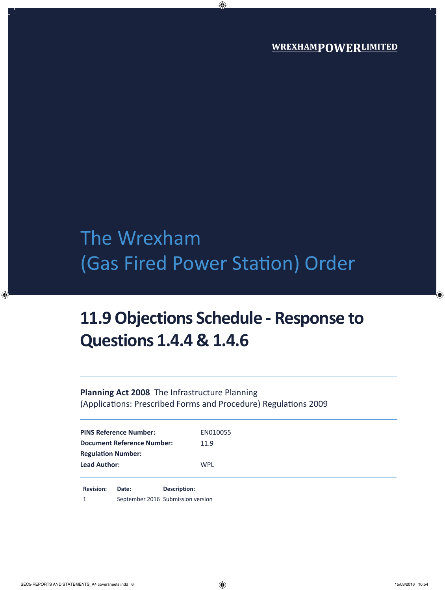# The Wrexham (Gas Fired Power Station) Order

## **11.9 Objections Schedule - Response to Questions 1.4.4 & 1.4.6**

## **Planning Act 2008** The Infrastructure Planning (Applications: Prescribed Forms and Procedure) Regulations 2009

| <b>PINS Reference Number:</b>     | EN010055   |  |
|-----------------------------------|------------|--|
| <b>Document Reference Number:</b> | 11.9       |  |
| <b>Regulation Number:</b>         |            |  |
| <b>Lead Author:</b>               | <b>WPL</b> |  |
|                                   |            |  |

**Revision: Date: Description:** 1 September 2016 Submission version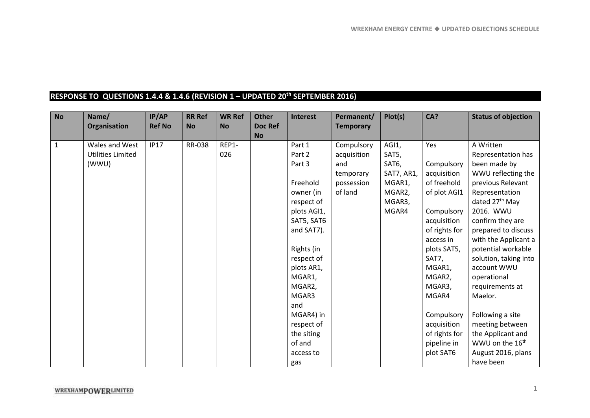### **RESPONSE TO QUESTIONS 1.4.4 & 1.4.6 (REVISION 1 – UPDATED 20th SEPTEMBER 2016)**

| <b>No</b>    | Name/<br>Organisation    | IP/AP<br><b>Ref No</b> | <b>RR Ref</b><br><b>No</b> | <b>WR Ref</b><br><b>No</b> | <b>Other</b><br><b>Doc Ref</b> | <b>Interest</b> | Permanent/<br><b>Temporary</b> | Plot(s)    | CA?           | <b>Status of objection</b>  |
|--------------|--------------------------|------------------------|----------------------------|----------------------------|--------------------------------|-----------------|--------------------------------|------------|---------------|-----------------------------|
|              |                          |                        |                            |                            | <b>No</b>                      |                 |                                |            |               |                             |
| $\mathbf{1}$ | Wales and West           | <b>IP17</b>            | RR-038                     | REP1-                      |                                | Part 1          | Compulsory                     | AGI1,      | Yes           | A Written                   |
|              | <b>Utilities Limited</b> |                        |                            | 026                        |                                | Part 2          | acquisition                    | SAT5,      |               | Representation has          |
|              | (WWU)                    |                        |                            |                            |                                | Part 3          | and                            | SAT6,      | Compulsory    | been made by                |
|              |                          |                        |                            |                            |                                |                 | temporary                      | SAT7, AR1, | acquisition   | WWU reflecting the          |
|              |                          |                        |                            |                            |                                | Freehold        | possession                     | MGAR1,     | of freehold   | previous Relevant           |
|              |                          |                        |                            |                            |                                | owner (in       | of land                        | MGAR2,     | of plot AGI1  | Representation              |
|              |                          |                        |                            |                            |                                | respect of      |                                | MGAR3,     |               | dated 27 <sup>th</sup> May  |
|              |                          |                        |                            |                            |                                | plots AGI1,     |                                | MGAR4      | Compulsory    | 2016. WWU                   |
|              |                          |                        |                            |                            |                                | SAT5, SAT6      |                                |            | acquisition   | confirm they are            |
|              |                          |                        |                            |                            |                                | and SAT7).      |                                |            | of rights for | prepared to discuss         |
|              |                          |                        |                            |                            |                                |                 |                                |            | access in     | with the Applicant a        |
|              |                          |                        |                            |                            |                                | Rights (in      |                                |            | plots SAT5,   | potential workable          |
|              |                          |                        |                            |                            |                                | respect of      |                                |            | SAT7,         | solution, taking into       |
|              |                          |                        |                            |                            |                                | plots AR1,      |                                |            | MGAR1,        | account WWU                 |
|              |                          |                        |                            |                            |                                | MGAR1,          |                                |            | MGAR2,        | operational                 |
|              |                          |                        |                            |                            |                                | MGAR2,          |                                |            | MGAR3,        | requirements at             |
|              |                          |                        |                            |                            |                                | MGAR3           |                                |            | MGAR4         | Maelor.                     |
|              |                          |                        |                            |                            |                                | and             |                                |            |               |                             |
|              |                          |                        |                            |                            |                                | MGAR4) in       |                                |            | Compulsory    | Following a site            |
|              |                          |                        |                            |                            |                                | respect of      |                                |            | acquisition   | meeting between             |
|              |                          |                        |                            |                            |                                | the siting      |                                |            | of rights for | the Applicant and           |
|              |                          |                        |                            |                            |                                | of and          |                                |            | pipeline in   | WWU on the 16 <sup>th</sup> |
|              |                          |                        |                            |                            |                                | access to       |                                |            | plot SAT6     | August 2016, plans          |
|              |                          |                        |                            |                            |                                | gas             |                                |            |               | have been                   |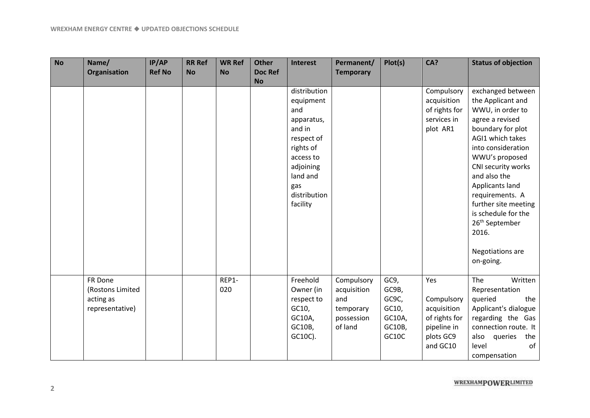| <b>No</b> | Name/                                                       | IP/AP         | <b>RR Ref</b> | <b>WR Ref</b> | <b>Other</b>                | <b>Interest</b>                                                                    | Permanent/                                                             | Plot(s)                                                      | CA?                                                                                       | <b>Status of objection</b>                                                                                                                                                                             |
|-----------|-------------------------------------------------------------|---------------|---------------|---------------|-----------------------------|------------------------------------------------------------------------------------|------------------------------------------------------------------------|--------------------------------------------------------------|-------------------------------------------------------------------------------------------|--------------------------------------------------------------------------------------------------------------------------------------------------------------------------------------------------------|
|           | Organisation                                                | <b>Ref No</b> | <b>No</b>     | <b>No</b>     | <b>Doc Ref</b><br><b>No</b> |                                                                                    | <b>Temporary</b>                                                       |                                                              |                                                                                           |                                                                                                                                                                                                        |
|           |                                                             |               |               |               |                             | distribution<br>equipment<br>and<br>apparatus,<br>and in<br>respect of             |                                                                        |                                                              | Compulsory<br>acquisition<br>of rights for<br>services in<br>plot AR1                     | exchanged between<br>the Applicant and<br>WWU, in order to<br>agree a revised<br>boundary for plot<br>AGI1 which takes                                                                                 |
|           |                                                             |               |               |               |                             | rights of<br>access to<br>adjoining<br>land and<br>gas<br>distribution<br>facility |                                                                        |                                                              |                                                                                           | into consideration<br>WWU's proposed<br>CNI security works<br>and also the<br>Applicants land<br>requirements. A<br>further site meeting<br>is schedule for the<br>26 <sup>th</sup> September<br>2016. |
|           |                                                             |               |               |               |                             |                                                                                    |                                                                        |                                                              |                                                                                           | Negotiations are<br>on-going.                                                                                                                                                                          |
|           | FR Done<br>(Rostons Limited<br>acting as<br>representative) |               |               | REP1-<br>020  |                             | Freehold<br>Owner (in<br>respect to<br>GC10,<br>GC10A,<br>GC10B,<br>GC10C).        | Compulsory<br>acquisition<br>and<br>temporary<br>possession<br>of land | GC9,<br>GC9B,<br>GC9C,<br>GC10,<br>GC10A,<br>GC10B,<br>GC10C | Yes<br>Compulsory<br>acquisition<br>of rights for<br>pipeline in<br>plots GC9<br>and GC10 | The<br>Written<br>Representation<br>queried<br>the<br>Applicant's dialogue<br>regarding the Gas<br>connection route. It<br>also<br>queries<br>the<br>of<br>level<br>compensation                       |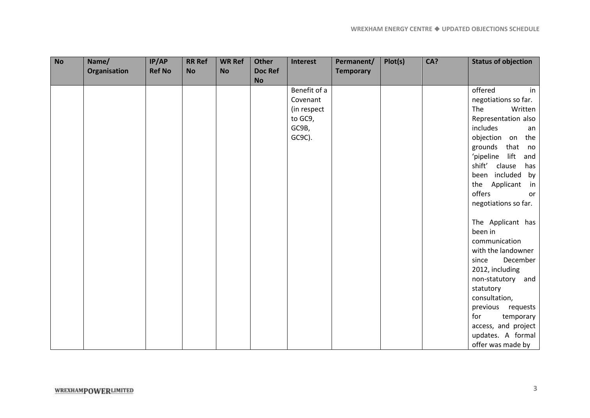| <b>No</b> | Name/        | IP/AP         | <b>RR Ref</b> | <b>WR Ref</b> | <b>Other</b>   | Interest     | Permanent/       | Plot(s) | CA? | <b>Status of objection</b>     |
|-----------|--------------|---------------|---------------|---------------|----------------|--------------|------------------|---------|-----|--------------------------------|
|           | Organisation | <b>Ref No</b> | <b>No</b>     | <b>No</b>     | <b>Doc Ref</b> |              | <b>Temporary</b> |         |     |                                |
|           |              |               |               |               | <b>No</b>      |              |                  |         |     |                                |
|           |              |               |               |               |                | Benefit of a |                  |         |     | offered<br>in                  |
|           |              |               |               |               |                | Covenant     |                  |         |     | negotiations so far.           |
|           |              |               |               |               |                | (in respect  |                  |         |     | The<br>Written                 |
|           |              |               |               |               |                | to GC9,      |                  |         |     | Representation also            |
|           |              |               |               |               |                | GC9B,        |                  |         |     | includes<br>an                 |
|           |              |               |               |               |                | GC9C).       |                  |         |     | objection on the               |
|           |              |               |               |               |                |              |                  |         |     | that<br>grounds<br>no          |
|           |              |               |               |               |                |              |                  |         |     | 'pipeline lift<br>and          |
|           |              |               |               |               |                |              |                  |         |     | shift'<br>clause<br>has        |
|           |              |               |               |               |                |              |                  |         |     | been included by               |
|           |              |               |               |               |                |              |                  |         |     | the Applicant<br>$\mathsf{in}$ |
|           |              |               |               |               |                |              |                  |         |     | offers<br>or                   |
|           |              |               |               |               |                |              |                  |         |     | negotiations so far.           |
|           |              |               |               |               |                |              |                  |         |     |                                |
|           |              |               |               |               |                |              |                  |         |     | The Applicant has              |
|           |              |               |               |               |                |              |                  |         |     | been in                        |
|           |              |               |               |               |                |              |                  |         |     | communication                  |
|           |              |               |               |               |                |              |                  |         |     | with the landowner             |
|           |              |               |               |               |                |              |                  |         |     | December<br>since              |
|           |              |               |               |               |                |              |                  |         |     | 2012, including                |
|           |              |               |               |               |                |              |                  |         |     | non-statutory and              |
|           |              |               |               |               |                |              |                  |         |     | statutory                      |
|           |              |               |               |               |                |              |                  |         |     | consultation,                  |
|           |              |               |               |               |                |              |                  |         |     | previous requests              |
|           |              |               |               |               |                |              |                  |         |     | for<br>temporary               |
|           |              |               |               |               |                |              |                  |         |     | access, and project            |
|           |              |               |               |               |                |              |                  |         |     | updates. A formal              |
|           |              |               |               |               |                |              |                  |         |     | offer was made by              |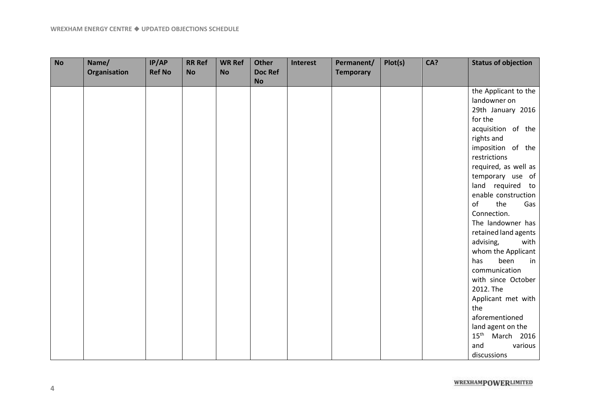| <b>No</b> | Name/<br>Organisation | IP/AP<br><b>Ref No</b> | <b>RR Ref</b><br><b>No</b> | <b>WR Ref</b><br><b>No</b> | <b>Other</b><br><b>Doc Ref</b><br><b>No</b> | <b>Interest</b> | Permanent/<br><b>Temporary</b> | Plot(s) | CA? | <b>Status of objection</b>     |
|-----------|-----------------------|------------------------|----------------------------|----------------------------|---------------------------------------------|-----------------|--------------------------------|---------|-----|--------------------------------|
|           |                       |                        |                            |                            |                                             |                 |                                |         |     | the Applicant to the           |
|           |                       |                        |                            |                            |                                             |                 |                                |         |     | landowner on                   |
|           |                       |                        |                            |                            |                                             |                 |                                |         |     | 29th January 2016              |
|           |                       |                        |                            |                            |                                             |                 |                                |         |     | for the                        |
|           |                       |                        |                            |                            |                                             |                 |                                |         |     | acquisition of the             |
|           |                       |                        |                            |                            |                                             |                 |                                |         |     | rights and                     |
|           |                       |                        |                            |                            |                                             |                 |                                |         |     | imposition of the              |
|           |                       |                        |                            |                            |                                             |                 |                                |         |     | restrictions                   |
|           |                       |                        |                            |                            |                                             |                 |                                |         |     | required, as well as           |
|           |                       |                        |                            |                            |                                             |                 |                                |         |     | temporary use of               |
|           |                       |                        |                            |                            |                                             |                 |                                |         |     | land required to               |
|           |                       |                        |                            |                            |                                             |                 |                                |         |     | enable construction            |
|           |                       |                        |                            |                            |                                             |                 |                                |         |     | of<br>the<br>Gas               |
|           |                       |                        |                            |                            |                                             |                 |                                |         |     | Connection.                    |
|           |                       |                        |                            |                            |                                             |                 |                                |         |     | The landowner has              |
|           |                       |                        |                            |                            |                                             |                 |                                |         |     | retained land agents           |
|           |                       |                        |                            |                            |                                             |                 |                                |         |     | advising,<br>with              |
|           |                       |                        |                            |                            |                                             |                 |                                |         |     | whom the Applicant             |
|           |                       |                        |                            |                            |                                             |                 |                                |         |     | been<br>has<br>in              |
|           |                       |                        |                            |                            |                                             |                 |                                |         |     | communication                  |
|           |                       |                        |                            |                            |                                             |                 |                                |         |     | with since October             |
|           |                       |                        |                            |                            |                                             |                 |                                |         |     | 2012. The                      |
|           |                       |                        |                            |                            |                                             |                 |                                |         |     | Applicant met with             |
|           |                       |                        |                            |                            |                                             |                 |                                |         |     | the                            |
|           |                       |                        |                            |                            |                                             |                 |                                |         |     | aforementioned                 |
|           |                       |                        |                            |                            |                                             |                 |                                |         |     | land agent on the              |
|           |                       |                        |                            |                            |                                             |                 |                                |         |     | $15^{\text{th}}$<br>March 2016 |
|           |                       |                        |                            |                            |                                             |                 |                                |         |     | various<br>and                 |
|           |                       |                        |                            |                            |                                             |                 |                                |         |     | discussions                    |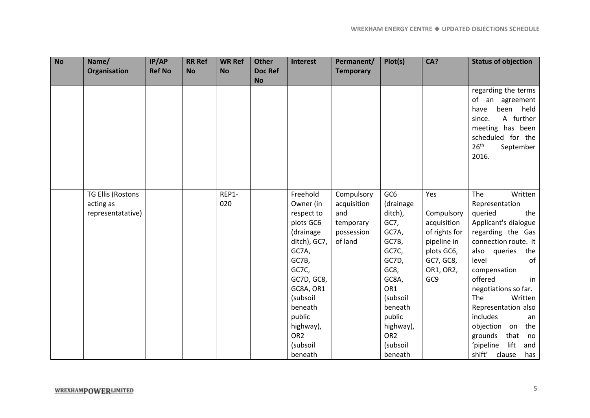| <b>No</b> | Name/                    | IP/AP<br><b>Ref No</b> | <b>RR Ref</b><br><b>No</b> | <b>WR Ref</b><br><b>No</b> | <b>Other</b><br><b>Doc Ref</b> | Interest                | Permanent/       | Plot(s)         | CA?           | <b>Status of objection</b>            |
|-----------|--------------------------|------------------------|----------------------------|----------------------------|--------------------------------|-------------------------|------------------|-----------------|---------------|---------------------------------------|
|           | Organisation             |                        |                            |                            | <b>No</b>                      |                         | <b>Temporary</b> |                 |               |                                       |
|           |                          |                        |                            |                            |                                |                         |                  |                 |               | regarding the terms                   |
|           |                          |                        |                            |                            |                                |                         |                  |                 |               | of an agreement                       |
|           |                          |                        |                            |                            |                                |                         |                  |                 |               | held<br>have<br>been                  |
|           |                          |                        |                            |                            |                                |                         |                  |                 |               | A further<br>since.                   |
|           |                          |                        |                            |                            |                                |                         |                  |                 |               | meeting has been<br>scheduled for the |
|           |                          |                        |                            |                            |                                |                         |                  |                 |               | 26 <sup>th</sup><br>September         |
|           |                          |                        |                            |                            |                                |                         |                  |                 |               | 2016.                                 |
|           |                          |                        |                            |                            |                                |                         |                  |                 |               |                                       |
|           |                          |                        |                            |                            |                                |                         |                  |                 |               |                                       |
|           |                          |                        |                            |                            |                                |                         |                  |                 |               |                                       |
|           | <b>TG Ellis (Rostons</b> |                        |                            | REP1-                      |                                | Freehold                | Compulsory       | GC <sub>6</sub> | Yes           | The<br>Written                        |
|           | acting as                |                        |                            | 020                        |                                | Owner (in               | acquisition      | (drainage       |               | Representation                        |
|           | representatative)        |                        |                            |                            |                                | respect to              | and              | ditch),         | Compulsory    | queried<br>the                        |
|           |                          |                        |                            |                            |                                | plots GC6               | temporary        | GC7,            | acquisition   | Applicant's dialogue                  |
|           |                          |                        |                            |                            |                                | (drainage               | possession       | GC7A,           | of rights for | regarding the Gas                     |
|           |                          |                        |                            |                            |                                | ditch), GC7,            | of land          | GC7B,           | pipeline in   | connection route. It                  |
|           |                          |                        |                            |                            |                                | GC7A,                   |                  | GC7C,           | plots GC6,    | the<br>also<br>queries                |
|           |                          |                        |                            |                            |                                | GC7B,                   |                  | GC7D,           | GC7, GC8,     | of<br>level                           |
|           |                          |                        |                            |                            |                                | GC7C,                   |                  | GC8,            | OR1, OR2,     | compensation                          |
|           |                          |                        |                            |                            |                                | GC7D, GC8,<br>GC8A, OR1 |                  | GC8A,<br>OR1    | GC9           | offered<br>in<br>negotiations so far. |
|           |                          |                        |                            |                            |                                | (subsoil                |                  | (subsoil        |               | The<br>Written                        |
|           |                          |                        |                            |                            |                                | beneath                 |                  | beneath         |               | Representation also                   |
|           |                          |                        |                            |                            |                                | public                  |                  | public          |               | includes<br>an                        |
|           |                          |                        |                            |                            |                                | highway),               |                  | highway),       |               | the<br>objection<br>on                |
|           |                          |                        |                            |                            |                                | OR <sub>2</sub>         |                  | OR <sub>2</sub> |               | grounds<br>that<br>no                 |
|           |                          |                        |                            |                            |                                | (subsoil                |                  | (subsoil        |               | 'pipeline<br>lift<br>and              |
|           |                          |                        |                            |                            |                                | beneath                 |                  | beneath         |               | shift'<br>clause<br>has               |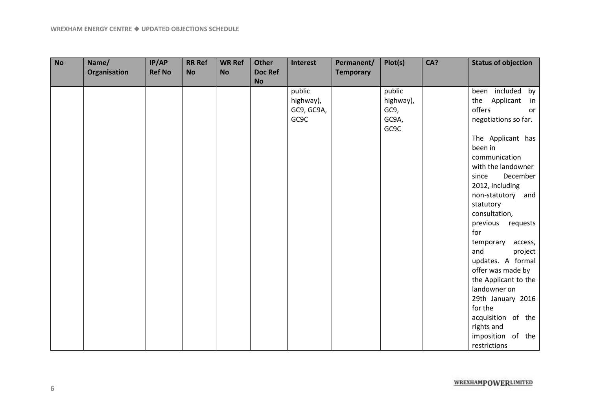| <b>No</b> | Name/        | IP/AP         | <b>RR Ref</b> | <b>WR Ref</b> | <b>Other</b>   | <b>Interest</b> | Permanent/       | Plot(s)   | CA? | <b>Status of objection</b> |
|-----------|--------------|---------------|---------------|---------------|----------------|-----------------|------------------|-----------|-----|----------------------------|
|           | Organisation | <b>Ref No</b> | <b>No</b>     | <b>No</b>     | <b>Doc Ref</b> |                 | <b>Temporary</b> |           |     |                            |
|           |              |               |               |               | <b>No</b>      |                 |                  |           |     |                            |
|           |              |               |               |               |                | public          |                  | public    |     | been included<br>by        |
|           |              |               |               |               |                | highway),       |                  | highway), |     | the Applicant<br>in        |
|           |              |               |               |               |                | GC9, GC9A,      |                  | GC9,      |     | offers<br>or               |
|           |              |               |               |               |                | GC9C            |                  | GC9A,     |     | negotiations so far.       |
|           |              |               |               |               |                |                 |                  | GC9C      |     |                            |
|           |              |               |               |               |                |                 |                  |           |     | The Applicant has          |
|           |              |               |               |               |                |                 |                  |           |     | been in                    |
|           |              |               |               |               |                |                 |                  |           |     | communication              |
|           |              |               |               |               |                |                 |                  |           |     | with the landowner         |
|           |              |               |               |               |                |                 |                  |           |     | December<br>since          |
|           |              |               |               |               |                |                 |                  |           |     | 2012, including            |
|           |              |               |               |               |                |                 |                  |           |     | non-statutory<br>and       |
|           |              |               |               |               |                |                 |                  |           |     | statutory                  |
|           |              |               |               |               |                |                 |                  |           |     | consultation,              |
|           |              |               |               |               |                |                 |                  |           |     | previous<br>requests       |
|           |              |               |               |               |                |                 |                  |           |     | for                        |
|           |              |               |               |               |                |                 |                  |           |     | temporary<br>access,       |
|           |              |               |               |               |                |                 |                  |           |     | and<br>project             |
|           |              |               |               |               |                |                 |                  |           |     | updates. A formal          |
|           |              |               |               |               |                |                 |                  |           |     | offer was made by          |
|           |              |               |               |               |                |                 |                  |           |     | the Applicant to the       |
|           |              |               |               |               |                |                 |                  |           |     | landowner on               |
|           |              |               |               |               |                |                 |                  |           |     | 29th January 2016          |
|           |              |               |               |               |                |                 |                  |           |     | for the                    |
|           |              |               |               |               |                |                 |                  |           |     | acquisition of the         |
|           |              |               |               |               |                |                 |                  |           |     | rights and                 |
|           |              |               |               |               |                |                 |                  |           |     | imposition of the          |
|           |              |               |               |               |                |                 |                  |           |     | restrictions               |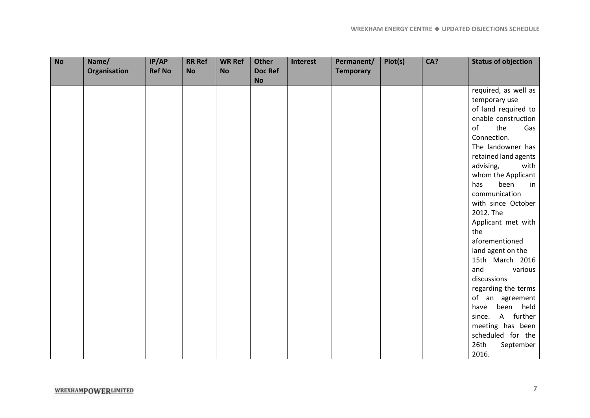| <b>No</b> | Name/        | IP/AP         | <b>RR Ref</b> | <b>WR Ref</b> | <b>Other</b>                | Interest | Permanent/       | Plot(s) | CA? | <b>Status of objection</b> |
|-----------|--------------|---------------|---------------|---------------|-----------------------------|----------|------------------|---------|-----|----------------------------|
|           | Organisation | <b>Ref No</b> | <b>No</b>     | <b>No</b>     | <b>Doc Ref</b><br><b>No</b> |          | <b>Temporary</b> |         |     |                            |
|           |              |               |               |               |                             |          |                  |         |     | required, as well as       |
|           |              |               |               |               |                             |          |                  |         |     | temporary use              |
|           |              |               |               |               |                             |          |                  |         |     | of land required to        |
|           |              |               |               |               |                             |          |                  |         |     | enable construction        |
|           |              |               |               |               |                             |          |                  |         |     | the<br>of<br>Gas           |
|           |              |               |               |               |                             |          |                  |         |     | Connection.                |
|           |              |               |               |               |                             |          |                  |         |     | The landowner has          |
|           |              |               |               |               |                             |          |                  |         |     | retained land agents       |
|           |              |               |               |               |                             |          |                  |         |     | advising,<br>with          |
|           |              |               |               |               |                             |          |                  |         |     | whom the Applicant         |
|           |              |               |               |               |                             |          |                  |         |     | been<br>has<br>in          |
|           |              |               |               |               |                             |          |                  |         |     | communication              |
|           |              |               |               |               |                             |          |                  |         |     | with since October         |
|           |              |               |               |               |                             |          |                  |         |     | 2012. The                  |
|           |              |               |               |               |                             |          |                  |         |     | Applicant met with         |
|           |              |               |               |               |                             |          |                  |         |     | the                        |
|           |              |               |               |               |                             |          |                  |         |     | aforementioned             |
|           |              |               |               |               |                             |          |                  |         |     | land agent on the          |
|           |              |               |               |               |                             |          |                  |         |     | 15th March 2016            |
|           |              |               |               |               |                             |          |                  |         |     | and<br>various             |
|           |              |               |               |               |                             |          |                  |         |     | discussions                |
|           |              |               |               |               |                             |          |                  |         |     | regarding the terms        |
|           |              |               |               |               |                             |          |                  |         |     | of an agreement            |
|           |              |               |               |               |                             |          |                  |         |     | held<br>have<br>been       |
|           |              |               |               |               |                             |          |                  |         |     | A further<br>since.        |
|           |              |               |               |               |                             |          |                  |         |     | meeting has been           |
|           |              |               |               |               |                             |          |                  |         |     | scheduled for the          |
|           |              |               |               |               |                             |          |                  |         |     | 26th<br>September          |
|           |              |               |               |               |                             |          |                  |         |     | 2016.                      |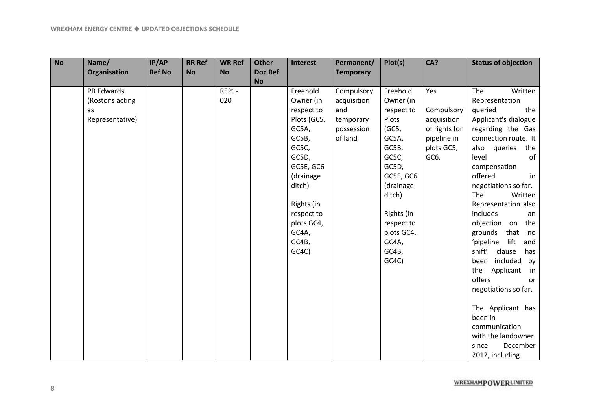| <b>No</b> | Name/             | IP/AP         | <b>RR Ref</b> | <b>WR Ref</b> | <b>Other</b>                | <b>Interest</b> | Permanent/       | Plot(s)    | CA?           | <b>Status of objection</b> |
|-----------|-------------------|---------------|---------------|---------------|-----------------------------|-----------------|------------------|------------|---------------|----------------------------|
|           | Organisation      | <b>Ref No</b> | <b>No</b>     | <b>No</b>     | <b>Doc Ref</b><br><b>No</b> |                 | <b>Temporary</b> |            |               |                            |
|           | <b>PB Edwards</b> |               |               | REP1-         |                             | Freehold        | Compulsory       | Freehold   | Yes           | Written<br>The             |
|           | (Rostons acting   |               |               | 020           |                             | Owner (in       | acquisition      | Owner (in  |               | Representation             |
|           | as                |               |               |               |                             | respect to      | and              | respect to | Compulsory    | queried<br>the             |
|           | Representative)   |               |               |               |                             | Plots (GC5,     | temporary        | Plots      | acquisition   | Applicant's dialogue       |
|           |                   |               |               |               |                             | GC5A,           | possession       | (GC5,      | of rights for | regarding the Gas          |
|           |                   |               |               |               |                             | GC5B,           | of land          | GC5A,      | pipeline in   | connection route. It       |
|           |                   |               |               |               |                             | GC5C,           |                  | GC5B,      | plots GC5,    | also<br>queries<br>the     |
|           |                   |               |               |               |                             | GC5D,           |                  | GC5C,      | GC6.          | of<br>level                |
|           |                   |               |               |               |                             | GC5E, GC6       |                  | GC5D,      |               | compensation               |
|           |                   |               |               |               |                             | (drainage       |                  | GC5E, GC6  |               | offered<br>in              |
|           |                   |               |               |               |                             | ditch)          |                  | (drainage  |               | negotiations so far.       |
|           |                   |               |               |               |                             |                 |                  | ditch)     |               | The<br>Written             |
|           |                   |               |               |               |                             | Rights (in      |                  |            |               | Representation also        |
|           |                   |               |               |               |                             | respect to      |                  | Rights (in |               | includes<br>an             |
|           |                   |               |               |               |                             | plots GC4,      |                  | respect to |               | objection on<br>the        |
|           |                   |               |               |               |                             | GC4A,           |                  | plots GC4, |               | grounds<br>that<br>no      |
|           |                   |               |               |               |                             | GC4B,           |                  | GC4A,      |               | lift<br>'pipeline<br>and   |
|           |                   |               |               |               |                             | GC4C)           |                  | GC4B,      |               | shift'<br>clause<br>has    |
|           |                   |               |               |               |                             |                 |                  | GCAC       |               | included<br>by<br>been     |
|           |                   |               |               |               |                             |                 |                  |            |               | Applicant<br>the<br>in     |
|           |                   |               |               |               |                             |                 |                  |            |               | offers<br>or               |
|           |                   |               |               |               |                             |                 |                  |            |               | negotiations so far.       |
|           |                   |               |               |               |                             |                 |                  |            |               | The Applicant has          |
|           |                   |               |               |               |                             |                 |                  |            |               | been in                    |
|           |                   |               |               |               |                             |                 |                  |            |               | communication              |
|           |                   |               |               |               |                             |                 |                  |            |               | with the landowner         |
|           |                   |               |               |               |                             |                 |                  |            |               | December<br>since          |
|           |                   |               |               |               |                             |                 |                  |            |               | 2012, including            |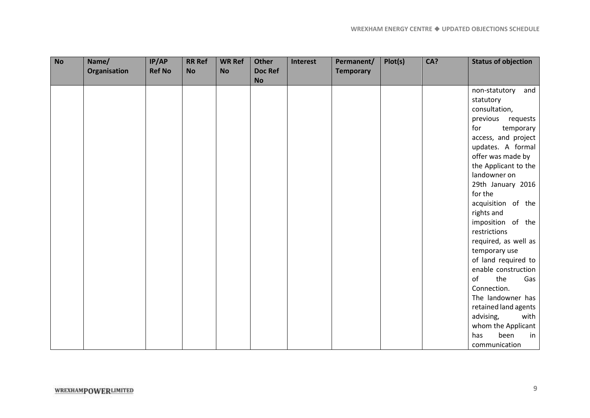| <b>No</b> | Name/<br>Organisation | IP/AP<br><b>Ref No</b> | <b>RR Ref</b><br><b>No</b> | <b>WR Ref</b><br><b>No</b> | <b>Other</b><br><b>Doc Ref</b> | <b>Interest</b> | Permanent/<br><b>Temporary</b> | Plot(s) | CA? | <b>Status of objection</b> |
|-----------|-----------------------|------------------------|----------------------------|----------------------------|--------------------------------|-----------------|--------------------------------|---------|-----|----------------------------|
|           |                       |                        |                            |                            | <b>No</b>                      |                 |                                |         |     |                            |
|           |                       |                        |                            |                            |                                |                 |                                |         |     | non-statutory<br>and       |
|           |                       |                        |                            |                            |                                |                 |                                |         |     | statutory                  |
|           |                       |                        |                            |                            |                                |                 |                                |         |     | consultation,              |
|           |                       |                        |                            |                            |                                |                 |                                |         |     | previous requests          |
|           |                       |                        |                            |                            |                                |                 |                                |         |     | for<br>temporary           |
|           |                       |                        |                            |                            |                                |                 |                                |         |     | access, and project        |
|           |                       |                        |                            |                            |                                |                 |                                |         |     | updates. A formal          |
|           |                       |                        |                            |                            |                                |                 |                                |         |     | offer was made by          |
|           |                       |                        |                            |                            |                                |                 |                                |         |     | the Applicant to the       |
|           |                       |                        |                            |                            |                                |                 |                                |         |     | landowner on               |
|           |                       |                        |                            |                            |                                |                 |                                |         |     | 29th January 2016          |
|           |                       |                        |                            |                            |                                |                 |                                |         |     | for the                    |
|           |                       |                        |                            |                            |                                |                 |                                |         |     | acquisition of the         |
|           |                       |                        |                            |                            |                                |                 |                                |         |     | rights and                 |
|           |                       |                        |                            |                            |                                |                 |                                |         |     | imposition of the          |
|           |                       |                        |                            |                            |                                |                 |                                |         |     | restrictions               |
|           |                       |                        |                            |                            |                                |                 |                                |         |     | required, as well as       |
|           |                       |                        |                            |                            |                                |                 |                                |         |     | temporary use              |
|           |                       |                        |                            |                            |                                |                 |                                |         |     | of land required to        |
|           |                       |                        |                            |                            |                                |                 |                                |         |     | enable construction        |
|           |                       |                        |                            |                            |                                |                 |                                |         |     | of<br>the<br>Gas           |
|           |                       |                        |                            |                            |                                |                 |                                |         |     | Connection.                |
|           |                       |                        |                            |                            |                                |                 |                                |         |     | The landowner has          |
|           |                       |                        |                            |                            |                                |                 |                                |         |     | retained land agents       |
|           |                       |                        |                            |                            |                                |                 |                                |         |     | advising,<br>with          |
|           |                       |                        |                            |                            |                                |                 |                                |         |     | whom the Applicant         |
|           |                       |                        |                            |                            |                                |                 |                                |         |     | been<br>in<br>has          |
|           |                       |                        |                            |                            |                                |                 |                                |         |     | communication              |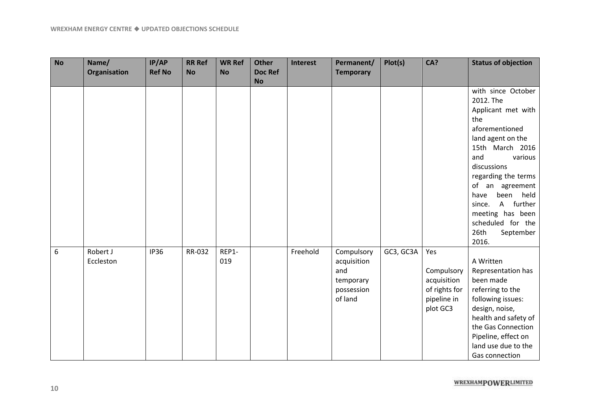| <b>No</b>        | Name/<br>Organisation | IP/AP<br><b>Ref No</b> | <b>RR Ref</b><br><b>No</b> | <b>WR Ref</b><br><b>No</b> | <b>Other</b><br><b>Doc Ref</b><br><b>No</b> | <b>Interest</b> | Permanent/<br><b>Temporary</b>                                         | Plot(s)   | CA?                                                                          | <b>Status of objection</b>                                                                                                                                                                                                                                                                                              |
|------------------|-----------------------|------------------------|----------------------------|----------------------------|---------------------------------------------|-----------------|------------------------------------------------------------------------|-----------|------------------------------------------------------------------------------|-------------------------------------------------------------------------------------------------------------------------------------------------------------------------------------------------------------------------------------------------------------------------------------------------------------------------|
|                  |                       |                        |                            |                            |                                             |                 |                                                                        |           |                                                                              | with since October<br>2012. The<br>Applicant met with<br>the<br>aforementioned<br>land agent on the<br>15th March 2016<br>and<br>various<br>discussions<br>regarding the terms<br>of an agreement<br>held<br>have<br>been<br>A further<br>since.<br>meeting has been<br>scheduled for the<br>26th<br>September<br>2016. |
| $\boldsymbol{6}$ | Robert J<br>Eccleston | <b>IP36</b>            | RR-032                     | REP1-<br>019               |                                             | Freehold        | Compulsory<br>acquisition<br>and<br>temporary<br>possession<br>of land | GC3, GC3A | Yes<br>Compulsory<br>acquisition<br>of rights for<br>pipeline in<br>plot GC3 | A Written<br>Representation has<br>been made<br>referring to the<br>following issues:<br>design, noise,<br>health and safety of<br>the Gas Connection<br>Pipeline, effect on<br>land use due to the<br>Gas connection                                                                                                   |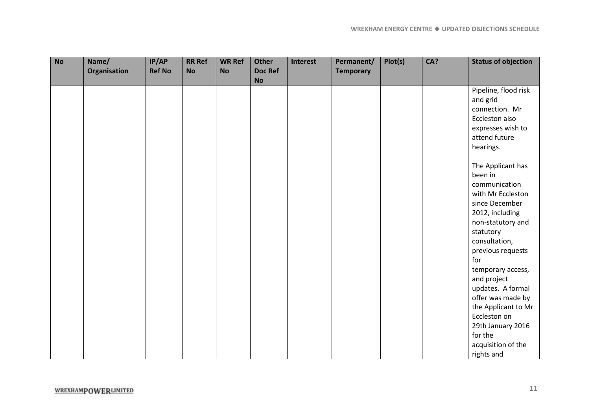| <b>No</b> | Name/        | IP/AP         | <b>RR Ref</b> | <b>WR Ref</b> | <b>Other</b>   | Interest | Permanent/       | Plot(s) | CA? | <b>Status of objection</b> |
|-----------|--------------|---------------|---------------|---------------|----------------|----------|------------------|---------|-----|----------------------------|
|           | Organisation | <b>Ref No</b> | <b>No</b>     | <b>No</b>     | <b>Doc Ref</b> |          | <b>Temporary</b> |         |     |                            |
|           |              |               |               |               | <b>No</b>      |          |                  |         |     |                            |
|           |              |               |               |               |                |          |                  |         |     | Pipeline, flood risk       |
|           |              |               |               |               |                |          |                  |         |     | and grid                   |
|           |              |               |               |               |                |          |                  |         |     | connection. Mr             |
|           |              |               |               |               |                |          |                  |         |     | Eccleston also             |
|           |              |               |               |               |                |          |                  |         |     | expresses wish to          |
|           |              |               |               |               |                |          |                  |         |     | attend future              |
|           |              |               |               |               |                |          |                  |         |     | hearings.                  |
|           |              |               |               |               |                |          |                  |         |     |                            |
|           |              |               |               |               |                |          |                  |         |     | The Applicant has          |
|           |              |               |               |               |                |          |                  |         |     | been in                    |
|           |              |               |               |               |                |          |                  |         |     | communication              |
|           |              |               |               |               |                |          |                  |         |     | with Mr Eccleston          |
|           |              |               |               |               |                |          |                  |         |     | since December             |
|           |              |               |               |               |                |          |                  |         |     | 2012, including            |
|           |              |               |               |               |                |          |                  |         |     | non-statutory and          |
|           |              |               |               |               |                |          |                  |         |     | statutory                  |
|           |              |               |               |               |                |          |                  |         |     | consultation,              |
|           |              |               |               |               |                |          |                  |         |     | previous requests          |
|           |              |               |               |               |                |          |                  |         |     | for                        |
|           |              |               |               |               |                |          |                  |         |     | temporary access,          |
|           |              |               |               |               |                |          |                  |         |     | and project                |
|           |              |               |               |               |                |          |                  |         |     | updates. A formal          |
|           |              |               |               |               |                |          |                  |         |     | offer was made by          |
|           |              |               |               |               |                |          |                  |         |     | the Applicant to Mr        |
|           |              |               |               |               |                |          |                  |         |     | Eccleston on               |
|           |              |               |               |               |                |          |                  |         |     | 29th January 2016          |
|           |              |               |               |               |                |          |                  |         |     | for the                    |
|           |              |               |               |               |                |          |                  |         |     | acquisition of the         |
|           |              |               |               |               |                |          |                  |         |     | rights and                 |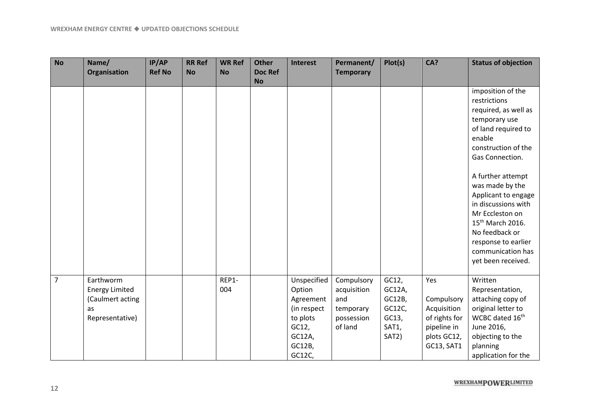| <b>No</b>      | Name/                                                                           | IP/AP         | <b>RR Ref</b> | <b>WR Ref</b> | <b>Other</b>                | <b>Interest</b>                                                                                      | Permanent/                                                             | Plot(s)                                                        | CA?                                                                                           | <b>Status of objection</b>                                                                                                                                                                                                                                                                                                              |
|----------------|---------------------------------------------------------------------------------|---------------|---------------|---------------|-----------------------------|------------------------------------------------------------------------------------------------------|------------------------------------------------------------------------|----------------------------------------------------------------|-----------------------------------------------------------------------------------------------|-----------------------------------------------------------------------------------------------------------------------------------------------------------------------------------------------------------------------------------------------------------------------------------------------------------------------------------------|
|                | Organisation                                                                    | <b>Ref No</b> | <b>No</b>     | <b>No</b>     | <b>Doc Ref</b><br><b>No</b> |                                                                                                      | <b>Temporary</b>                                                       |                                                                |                                                                                               |                                                                                                                                                                                                                                                                                                                                         |
|                |                                                                                 |               |               |               |                             |                                                                                                      |                                                                        |                                                                |                                                                                               | imposition of the<br>restrictions<br>required, as well as<br>temporary use<br>of land required to<br>enable<br>construction of the<br>Gas Connection.<br>A further attempt<br>was made by the<br>Applicant to engage<br>in discussions with<br>Mr Eccleston on<br>15 <sup>th</sup> March 2016.<br>No feedback or<br>response to earlier |
|                |                                                                                 |               |               |               |                             |                                                                                                      |                                                                        |                                                                |                                                                                               | communication has<br>yet been received.                                                                                                                                                                                                                                                                                                 |
| $\overline{7}$ | Earthworm<br><b>Energy Limited</b><br>(Caulmert acting<br>as<br>Representative) |               |               | REP1-<br>004  |                             | Unspecified<br>Option<br>Agreement<br>(in respect<br>to plots<br>GC12,<br>GC12A,<br>GC12B,<br>GC12C, | Compulsory<br>acquisition<br>and<br>temporary<br>possession<br>of land | GC12,<br>GC12A,<br>GC12B,<br>GC12C,<br>GC13,<br>SAT1,<br>SAT2) | Yes<br>Compulsory<br>Acquisition<br>of rights for<br>pipeline in<br>plots GC12,<br>GC13, SAT1 | Written<br>Representation,<br>attaching copy of<br>original letter to<br>WCBC dated 16th<br>June 2016,<br>objecting to the<br>planning<br>application for the                                                                                                                                                                           |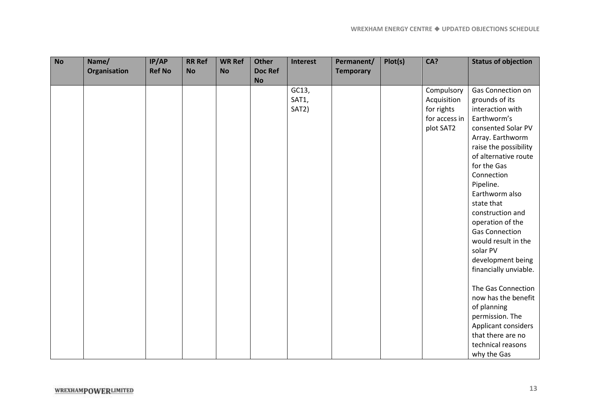| <b>No</b> | Name/        | IP/AP         | <b>RR Ref</b> | <b>WR Ref</b> | <b>Other</b> | <b>Interest</b> | Permanent/       | Plot(s) | CA?           | <b>Status of objection</b> |
|-----------|--------------|---------------|---------------|---------------|--------------|-----------------|------------------|---------|---------------|----------------------------|
|           | Organisation | <b>Ref No</b> | <b>No</b>     | <b>No</b>     | Doc Ref      |                 | <b>Temporary</b> |         |               |                            |
|           |              |               |               |               | <b>No</b>    |                 |                  |         |               |                            |
|           |              |               |               |               |              | GC13,           |                  |         | Compulsory    | Gas Connection on          |
|           |              |               |               |               |              | SAT1,           |                  |         | Acquisition   | grounds of its             |
|           |              |               |               |               |              | SAT2)           |                  |         | for rights    | interaction with           |
|           |              |               |               |               |              |                 |                  |         | for access in | Earthworm's                |
|           |              |               |               |               |              |                 |                  |         | plot SAT2     | consented Solar PV         |
|           |              |               |               |               |              |                 |                  |         |               | Array. Earthworm           |
|           |              |               |               |               |              |                 |                  |         |               | raise the possibility      |
|           |              |               |               |               |              |                 |                  |         |               | of alternative route       |
|           |              |               |               |               |              |                 |                  |         |               | for the Gas                |
|           |              |               |               |               |              |                 |                  |         |               | Connection                 |
|           |              |               |               |               |              |                 |                  |         |               | Pipeline.                  |
|           |              |               |               |               |              |                 |                  |         |               | Earthworm also             |
|           |              |               |               |               |              |                 |                  |         |               | state that                 |
|           |              |               |               |               |              |                 |                  |         |               | construction and           |
|           |              |               |               |               |              |                 |                  |         |               | operation of the           |
|           |              |               |               |               |              |                 |                  |         |               | <b>Gas Connection</b>      |
|           |              |               |               |               |              |                 |                  |         |               | would result in the        |
|           |              |               |               |               |              |                 |                  |         |               | solar PV                   |
|           |              |               |               |               |              |                 |                  |         |               | development being          |
|           |              |               |               |               |              |                 |                  |         |               | financially unviable.      |
|           |              |               |               |               |              |                 |                  |         |               |                            |
|           |              |               |               |               |              |                 |                  |         |               | The Gas Connection         |
|           |              |               |               |               |              |                 |                  |         |               | now has the benefit        |
|           |              |               |               |               |              |                 |                  |         |               | of planning                |
|           |              |               |               |               |              |                 |                  |         |               | permission. The            |
|           |              |               |               |               |              |                 |                  |         |               | Applicant considers        |
|           |              |               |               |               |              |                 |                  |         |               | that there are no          |
|           |              |               |               |               |              |                 |                  |         |               | technical reasons          |
|           |              |               |               |               |              |                 |                  |         |               | why the Gas                |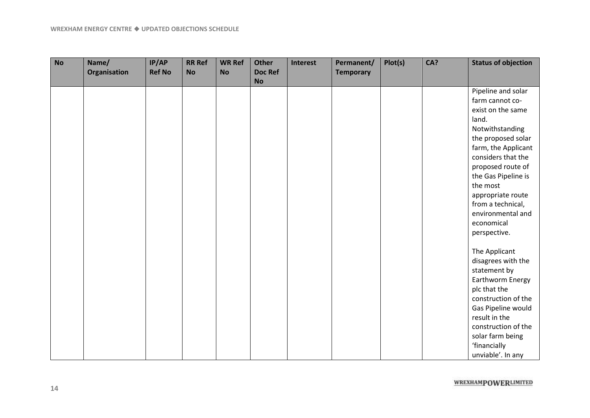| <b>No</b> | Name/<br><b>Organisation</b> | IP/AP<br><b>Ref No</b> | <b>RR Ref</b><br><b>No</b> | <b>WR Ref</b><br><b>No</b> | <b>Other</b><br><b>Doc Ref</b><br><b>No</b> | <b>Interest</b> | Permanent/<br><b>Temporary</b> | Plot(s) | CA? | <b>Status of objection</b> |
|-----------|------------------------------|------------------------|----------------------------|----------------------------|---------------------------------------------|-----------------|--------------------------------|---------|-----|----------------------------|
|           |                              |                        |                            |                            |                                             |                 |                                |         |     | Pipeline and solar         |
|           |                              |                        |                            |                            |                                             |                 |                                |         |     | farm cannot co-            |
|           |                              |                        |                            |                            |                                             |                 |                                |         |     | exist on the same          |
|           |                              |                        |                            |                            |                                             |                 |                                |         |     | land.                      |
|           |                              |                        |                            |                            |                                             |                 |                                |         |     | Notwithstanding            |
|           |                              |                        |                            |                            |                                             |                 |                                |         |     | the proposed solar         |
|           |                              |                        |                            |                            |                                             |                 |                                |         |     | farm, the Applicant        |
|           |                              |                        |                            |                            |                                             |                 |                                |         |     | considers that the         |
|           |                              |                        |                            |                            |                                             |                 |                                |         |     | proposed route of          |
|           |                              |                        |                            |                            |                                             |                 |                                |         |     | the Gas Pipeline is        |
|           |                              |                        |                            |                            |                                             |                 |                                |         |     | the most                   |
|           |                              |                        |                            |                            |                                             |                 |                                |         |     | appropriate route          |
|           |                              |                        |                            |                            |                                             |                 |                                |         |     | from a technical,          |
|           |                              |                        |                            |                            |                                             |                 |                                |         |     | environmental and          |
|           |                              |                        |                            |                            |                                             |                 |                                |         |     | economical                 |
|           |                              |                        |                            |                            |                                             |                 |                                |         |     | perspective.               |
|           |                              |                        |                            |                            |                                             |                 |                                |         |     | The Applicant              |
|           |                              |                        |                            |                            |                                             |                 |                                |         |     | disagrees with the         |
|           |                              |                        |                            |                            |                                             |                 |                                |         |     | statement by               |
|           |                              |                        |                            |                            |                                             |                 |                                |         |     | Earthworm Energy           |
|           |                              |                        |                            |                            |                                             |                 |                                |         |     | plc that the               |
|           |                              |                        |                            |                            |                                             |                 |                                |         |     | construction of the        |
|           |                              |                        |                            |                            |                                             |                 |                                |         |     | Gas Pipeline would         |
|           |                              |                        |                            |                            |                                             |                 |                                |         |     | result in the              |
|           |                              |                        |                            |                            |                                             |                 |                                |         |     | construction of the        |
|           |                              |                        |                            |                            |                                             |                 |                                |         |     | solar farm being           |
|           |                              |                        |                            |                            |                                             |                 |                                |         |     | 'financially               |
|           |                              |                        |                            |                            |                                             |                 |                                |         |     | unviable'. In any          |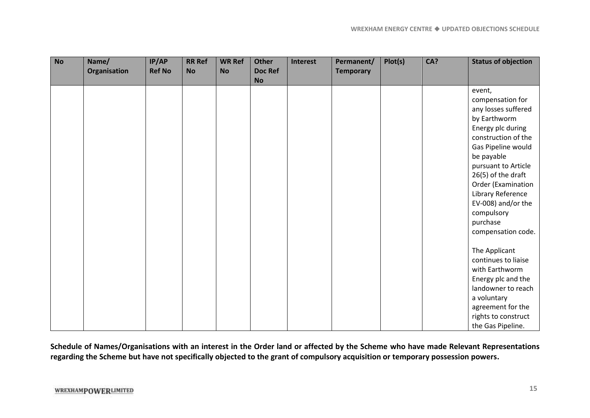| <b>No</b> | Name/<br>Organisation | IP/AP<br><b>Ref No</b> | <b>RR Ref</b><br><b>No</b> | <b>WR Ref</b><br><b>No</b> | <b>Other</b><br><b>Doc Ref</b><br><b>No</b> | Interest | Permanent/<br><b>Temporary</b> | Plot(s) | CA? | <b>Status of objection</b>                                                                                                                                                                                                                                                                                                                                                                      |
|-----------|-----------------------|------------------------|----------------------------|----------------------------|---------------------------------------------|----------|--------------------------------|---------|-----|-------------------------------------------------------------------------------------------------------------------------------------------------------------------------------------------------------------------------------------------------------------------------------------------------------------------------------------------------------------------------------------------------|
|           |                       |                        |                            |                            |                                             |          |                                |         |     | event,<br>compensation for<br>any losses suffered<br>by Earthworm<br>Energy plc during<br>construction of the<br>Gas Pipeline would<br>be payable<br>pursuant to Article<br>26(5) of the draft<br>Order (Examination<br>Library Reference<br>EV-008) and/or the<br>compulsory<br>purchase<br>compensation code.<br>The Applicant<br>continues to liaise<br>with Earthworm<br>Energy plc and the |
|           |                       |                        |                            |                            |                                             |          |                                |         |     | landowner to reach<br>a voluntary<br>agreement for the<br>rights to construct<br>the Gas Pipeline.                                                                                                                                                                                                                                                                                              |

**Schedule of Names/Organisations with an interest in the Order land or affected by the Scheme who have made Relevant Representations regarding the Scheme but have not specifically objected to the grant of compulsory acquisition or temporary possession powers.**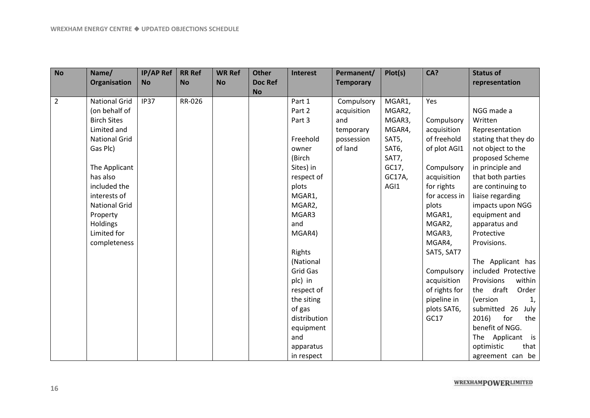| <b>No</b>      | Name/                | <b>IP/AP Ref</b> | <b>RR Ref</b> | <b>WR Ref</b> | <b>Other</b>   | <b>Interest</b> | Permanent/       | Plot(s) | CA?           | <b>Status of</b>     |
|----------------|----------------------|------------------|---------------|---------------|----------------|-----------------|------------------|---------|---------------|----------------------|
|                | <b>Organisation</b>  | <b>No</b>        | <b>No</b>     | <b>No</b>     | <b>Doc Ref</b> |                 | <b>Temporary</b> |         |               | representation       |
|                |                      |                  |               |               | <b>No</b>      |                 |                  |         |               |                      |
| $\overline{2}$ | <b>National Grid</b> | <b>IP37</b>      | RR-026        |               |                | Part 1          | Compulsory       | MGAR1,  | Yes           |                      |
|                | (on behalf of        |                  |               |               |                | Part 2          | acquisition      | MGAR2,  |               | NGG made a           |
|                | <b>Birch Sites</b>   |                  |               |               |                | Part 3          | and              | MGAR3,  | Compulsory    | Written              |
|                | Limited and          |                  |               |               |                |                 | temporary        | MGAR4,  | acquisition   | Representation       |
|                | <b>National Grid</b> |                  |               |               |                | Freehold        | possession       | SAT5,   | of freehold   | stating that they do |
|                | Gas Plc)             |                  |               |               |                | owner           | of land          | SAT6,   | of plot AGI1  | not object to the    |
|                |                      |                  |               |               |                | (Birch          |                  | SAT7,   |               | proposed Scheme      |
|                | The Applicant        |                  |               |               |                | Sites) in       |                  | GC17,   | Compulsory    | in principle and     |
|                | has also             |                  |               |               |                | respect of      |                  | GC17A,  | acquisition   | that both parties    |
|                | included the         |                  |               |               |                | plots           |                  | AGI1    | for rights    | are continuing to    |
|                | interests of         |                  |               |               |                | MGAR1,          |                  |         | for access in | liaise regarding     |
|                | <b>National Grid</b> |                  |               |               |                | MGAR2,          |                  |         | plots         | impacts upon NGG     |
|                | Property             |                  |               |               |                | MGAR3           |                  |         | MGAR1,        | equipment and        |
|                | <b>Holdings</b>      |                  |               |               |                | and             |                  |         | MGAR2,        | apparatus and        |
|                | Limited for          |                  |               |               |                | MGAR4)          |                  |         | MGAR3,        | Protective           |
|                | completeness         |                  |               |               |                |                 |                  |         | MGAR4,        | Provisions.          |
|                |                      |                  |               |               |                | Rights          |                  |         | SAT5, SAT7    |                      |
|                |                      |                  |               |               |                | (National       |                  |         |               | The Applicant has    |
|                |                      |                  |               |               |                | Grid Gas        |                  |         | Compulsory    | included Protective  |
|                |                      |                  |               |               |                | plc) in         |                  |         | acquisition   | within<br>Provisions |
|                |                      |                  |               |               |                | respect of      |                  |         | of rights for | the draft<br>Order   |
|                |                      |                  |               |               |                | the siting      |                  |         | pipeline in   | (version<br>1,       |
|                |                      |                  |               |               |                | of gas          |                  |         | plots SAT6,   | submitted 26<br>July |
|                |                      |                  |               |               |                | distribution    |                  |         | GC17          | 2016)<br>for<br>the  |
|                |                      |                  |               |               |                | equipment       |                  |         |               | benefit of NGG.      |
|                |                      |                  |               |               |                | and             |                  |         |               | The Applicant is     |
|                |                      |                  |               |               |                | apparatus       |                  |         |               | that<br>optimistic   |
|                |                      |                  |               |               |                | in respect      |                  |         |               | agreement can be     |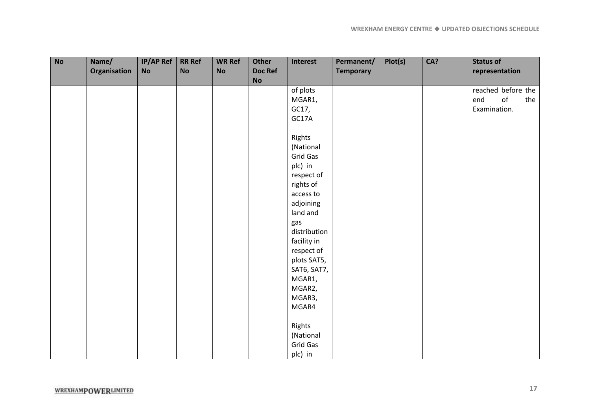| <b>No</b> | Name/        | $IP/AP$ Ref | <b>RR Ref</b> | <b>WR Ref</b> | Other                | Interest     | Permanent/       | Plot(s) | CA? | <b>Status of</b>             |
|-----------|--------------|-------------|---------------|---------------|----------------------|--------------|------------------|---------|-----|------------------------------|
|           | Organisation | No          | <b>No</b>     | <b>No</b>     | <b>Doc Ref</b><br>No |              | <b>Temporary</b> |         |     | representation               |
|           |              |             |               |               |                      | of plots     |                  |         |     | reached before the           |
|           |              |             |               |               |                      | MGAR1,       |                  |         |     | o <sub>f</sub><br>end<br>the |
|           |              |             |               |               |                      | GC17,        |                  |         |     | Examination.                 |
|           |              |             |               |               |                      | GC17A        |                  |         |     |                              |
|           |              |             |               |               |                      | Rights       |                  |         |     |                              |
|           |              |             |               |               |                      | (National    |                  |         |     |                              |
|           |              |             |               |               |                      | Grid Gas     |                  |         |     |                              |
|           |              |             |               |               |                      | plc) in      |                  |         |     |                              |
|           |              |             |               |               |                      | respect of   |                  |         |     |                              |
|           |              |             |               |               |                      | rights of    |                  |         |     |                              |
|           |              |             |               |               |                      | access to    |                  |         |     |                              |
|           |              |             |               |               |                      | adjoining    |                  |         |     |                              |
|           |              |             |               |               |                      | land and     |                  |         |     |                              |
|           |              |             |               |               |                      | gas          |                  |         |     |                              |
|           |              |             |               |               |                      | distribution |                  |         |     |                              |
|           |              |             |               |               |                      | facility in  |                  |         |     |                              |
|           |              |             |               |               |                      | respect of   |                  |         |     |                              |
|           |              |             |               |               |                      | plots SAT5,  |                  |         |     |                              |
|           |              |             |               |               |                      | SAT6, SAT7,  |                  |         |     |                              |
|           |              |             |               |               |                      | MGAR1,       |                  |         |     |                              |
|           |              |             |               |               |                      | MGAR2,       |                  |         |     |                              |
|           |              |             |               |               |                      | MGAR3,       |                  |         |     |                              |
|           |              |             |               |               |                      | MGAR4        |                  |         |     |                              |
|           |              |             |               |               |                      | Rights       |                  |         |     |                              |
|           |              |             |               |               |                      | (National    |                  |         |     |                              |
|           |              |             |               |               |                      | Grid Gas     |                  |         |     |                              |
|           |              |             |               |               |                      | plc) in      |                  |         |     |                              |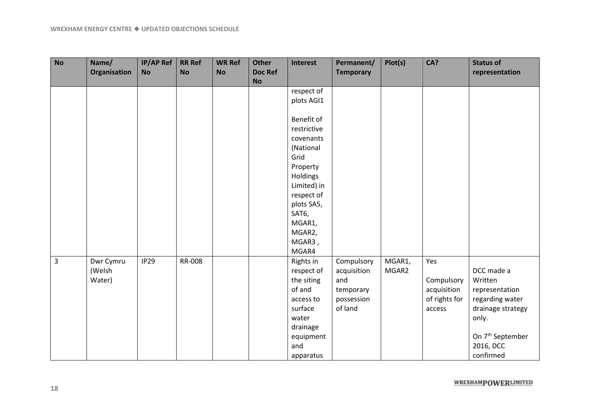| <b>No</b> | Name/        | <b>IP/AP Ref</b> | <b>RR Ref</b> | <b>WR Ref</b> | <b>Other</b>   | Interest    | Permanent/       | Plot(s) | CA?           | <b>Status of</b>             |
|-----------|--------------|------------------|---------------|---------------|----------------|-------------|------------------|---------|---------------|------------------------------|
|           | Organisation | <b>No</b>        | <b>No</b>     | <b>No</b>     | <b>Doc Ref</b> |             | <b>Temporary</b> |         |               | representation               |
|           |              |                  |               |               | <b>No</b>      |             |                  |         |               |                              |
|           |              |                  |               |               |                | respect of  |                  |         |               |                              |
|           |              |                  |               |               |                | plots AGI1  |                  |         |               |                              |
|           |              |                  |               |               |                |             |                  |         |               |                              |
|           |              |                  |               |               |                | Benefit of  |                  |         |               |                              |
|           |              |                  |               |               |                | restrictive |                  |         |               |                              |
|           |              |                  |               |               |                | covenants   |                  |         |               |                              |
|           |              |                  |               |               |                | (National   |                  |         |               |                              |
|           |              |                  |               |               |                | Grid        |                  |         |               |                              |
|           |              |                  |               |               |                | Property    |                  |         |               |                              |
|           |              |                  |               |               |                | Holdings    |                  |         |               |                              |
|           |              |                  |               |               |                | Limited) in |                  |         |               |                              |
|           |              |                  |               |               |                | respect of  |                  |         |               |                              |
|           |              |                  |               |               |                | plots SA5,  |                  |         |               |                              |
|           |              |                  |               |               |                | SAT6,       |                  |         |               |                              |
|           |              |                  |               |               |                | MGAR1,      |                  |         |               |                              |
|           |              |                  |               |               |                | MGAR2,      |                  |         |               |                              |
|           |              |                  |               |               |                | MGAR3,      |                  |         |               |                              |
|           |              |                  |               |               |                | MGAR4       |                  |         |               |                              |
| 3         | Dwr Cymru    | <b>IP29</b>      | RR-008        |               |                | Rights in   | Compulsory       | MGAR1,  | Yes           |                              |
|           | (Welsh       |                  |               |               |                | respect of  | acquisition      | MGAR2   |               | DCC made a                   |
|           | Water)       |                  |               |               |                | the siting  | and              |         | Compulsory    | Written                      |
|           |              |                  |               |               |                | of and      | temporary        |         | acquisition   | representation               |
|           |              |                  |               |               |                | access to   | possession       |         | of rights for | regarding water              |
|           |              |                  |               |               |                | surface     | of land          |         | access        | drainage strategy            |
|           |              |                  |               |               |                | water       |                  |         |               | only.                        |
|           |              |                  |               |               |                | drainage    |                  |         |               |                              |
|           |              |                  |               |               |                | equipment   |                  |         |               | On 7 <sup>th</sup> September |
|           |              |                  |               |               |                | and         |                  |         |               | 2016, DCC                    |
|           |              |                  |               |               |                | apparatus   |                  |         |               | confirmed                    |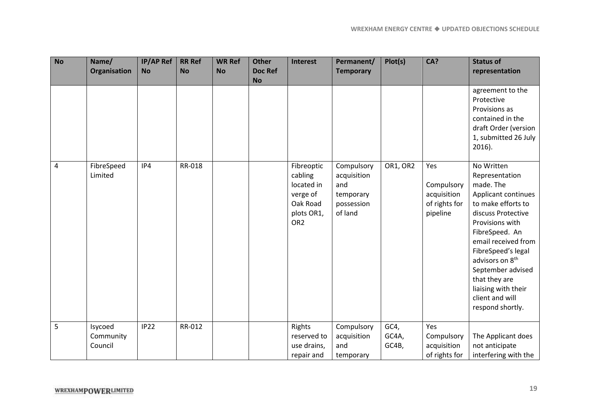| <b>No</b> | Name/                           | <b>IP/AP Ref</b> | <b>RR Ref</b> | <b>WR Ref</b> | <b>Other</b>                | <b>Interest</b>                                                                              | Permanent/                                                             | Plot(s)                | CA?                                                           | <b>Status of</b>                                                                                                                                                                                                                                                                                                                  |
|-----------|---------------------------------|------------------|---------------|---------------|-----------------------------|----------------------------------------------------------------------------------------------|------------------------------------------------------------------------|------------------------|---------------------------------------------------------------|-----------------------------------------------------------------------------------------------------------------------------------------------------------------------------------------------------------------------------------------------------------------------------------------------------------------------------------|
|           | Organisation                    | <b>No</b>        | <b>No</b>     | <b>No</b>     | <b>Doc Ref</b><br><b>No</b> |                                                                                              | <b>Temporary</b>                                                       |                        |                                                               | representation                                                                                                                                                                                                                                                                                                                    |
|           |                                 |                  |               |               |                             |                                                                                              |                                                                        |                        |                                                               | agreement to the<br>Protective<br>Provisions as<br>contained in the<br>draft Order (version<br>1, submitted 26 July<br>$2016$ ).                                                                                                                                                                                                  |
| 4         | FibreSpeed<br>Limited           | IP4              | RR-018        |               |                             | Fibreoptic<br>cabling<br>located in<br>verge of<br>Oak Road<br>plots OR1,<br>OR <sub>2</sub> | Compulsory<br>acquisition<br>and<br>temporary<br>possession<br>of land | OR1, OR2               | Yes<br>Compulsory<br>acquisition<br>of rights for<br>pipeline | No Written<br>Representation<br>made. The<br>Applicant continues<br>to make efforts to<br>discuss Protective<br>Provisions with<br>FibreSpeed. An<br>email received from<br>FibreSpeed's legal<br>advisors on 8 <sup>th</sup><br>September advised<br>that they are<br>liaising with their<br>client and will<br>respond shortly. |
| 5         | Isycoed<br>Community<br>Council | IP22             | RR-012        |               |                             | Rights<br>reserved to<br>use drains,<br>repair and                                           | Compulsory<br>acquisition<br>and<br>temporary                          | GC4,<br>GC4A,<br>GC4B, | Yes<br>Compulsory<br>acquisition<br>of rights for             | The Applicant does<br>not anticipate<br>interfering with the                                                                                                                                                                                                                                                                      |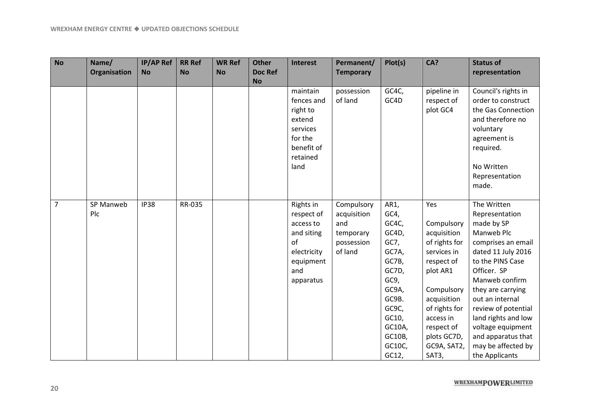| <b>No</b>      | Name/        | <b>IP/AP Ref</b> | <b>RR Ref</b> | <b>WR Ref</b> | <b>Other</b>   | <b>Interest</b>    | Permanent/       | Plot(s) | CA?           | <b>Status of</b>          |
|----------------|--------------|------------------|---------------|---------------|----------------|--------------------|------------------|---------|---------------|---------------------------|
|                | Organisation | <b>No</b>        | <b>No</b>     | <b>No</b>     | <b>Doc Ref</b> |                    | <b>Temporary</b> |         |               | representation            |
|                |              |                  |               |               | <b>No</b>      |                    |                  |         |               |                           |
|                |              |                  |               |               |                | maintain           | possession       | GC4C,   | pipeline in   | Council's rights in       |
|                |              |                  |               |               |                | fences and         | of land          | GC4D    | respect of    | order to construct        |
|                |              |                  |               |               |                | right to           |                  |         | plot GC4      | the Gas Connection        |
|                |              |                  |               |               |                | extend<br>services |                  |         |               | and therefore no          |
|                |              |                  |               |               |                | for the            |                  |         |               | voluntary                 |
|                |              |                  |               |               |                | benefit of         |                  |         |               | agreement is<br>required. |
|                |              |                  |               |               |                | retained           |                  |         |               |                           |
|                |              |                  |               |               |                | land               |                  |         |               | No Written                |
|                |              |                  |               |               |                |                    |                  |         |               | Representation            |
|                |              |                  |               |               |                |                    |                  |         |               | made.                     |
|                |              |                  |               |               |                |                    |                  |         |               |                           |
| $\overline{7}$ | SP Manweb    | <b>IP38</b>      | RR-035        |               |                | Rights in          | Compulsory       | AR1,    | Yes           | The Written               |
|                | Plc          |                  |               |               |                | respect of         | acquisition      | GC4,    |               | Representation            |
|                |              |                  |               |               |                | access to          | and              | GC4C,   | Compulsory    | made by SP                |
|                |              |                  |               |               |                | and siting         | temporary        | GC4D,   | acquisition   | Manweb Plc                |
|                |              |                  |               |               |                | of                 | possession       | GC7,    | of rights for | comprises an email        |
|                |              |                  |               |               |                | electricity        | of land          | GC7A,   | services in   | dated 11 July 2016        |
|                |              |                  |               |               |                | equipment          |                  | GC7B,   | respect of    | to the PINS Case          |
|                |              |                  |               |               |                | and                |                  | GC7D,   | plot AR1      | Officer. SP               |
|                |              |                  |               |               |                | apparatus          |                  | GC9,    |               | Manweb confirm            |
|                |              |                  |               |               |                |                    |                  | GC9A,   | Compulsory    | they are carrying         |
|                |              |                  |               |               |                |                    |                  | GC9B.   | acquisition   | out an internal           |
|                |              |                  |               |               |                |                    |                  | GC9C,   | of rights for | review of potential       |
|                |              |                  |               |               |                |                    |                  | GC10,   | access in     | land rights and low       |
|                |              |                  |               |               |                |                    |                  | GC10A,  | respect of    | voltage equipment         |
|                |              |                  |               |               |                |                    |                  | GC10B,  | plots GC7D,   | and apparatus that        |
|                |              |                  |               |               |                |                    |                  | GC10C,  | GC9A, SAT2,   | may be affected by        |
|                |              |                  |               |               |                |                    |                  | GC12,   | SAT3,         | the Applicants            |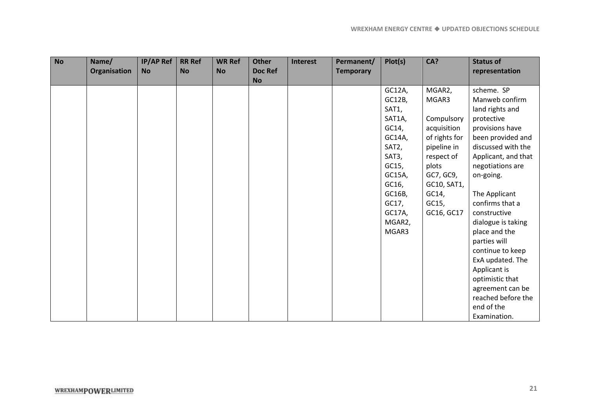| <b>No</b> | Name/        | <b>IP/AP Ref</b> | <b>RR Ref</b> | <b>WR Ref</b> | <b>Other</b> | <b>Interest</b> | Permanent/       | Plot(s) | CA?           | <b>Status of</b>    |
|-----------|--------------|------------------|---------------|---------------|--------------|-----------------|------------------|---------|---------------|---------------------|
|           | Organisation | <b>No</b>        | <b>No</b>     | <b>No</b>     | Doc Ref      |                 | <b>Temporary</b> |         |               | representation      |
|           |              |                  |               |               | <b>No</b>    |                 |                  |         |               |                     |
|           |              |                  |               |               |              |                 |                  | GC12A,  | MGAR2,        | scheme. SP          |
|           |              |                  |               |               |              |                 |                  | GC12B,  | MGAR3         | Manweb confirm      |
|           |              |                  |               |               |              |                 |                  | SAT1,   |               | land rights and     |
|           |              |                  |               |               |              |                 |                  | SAT1A,  | Compulsory    | protective          |
|           |              |                  |               |               |              |                 |                  | GC14,   | acquisition   | provisions have     |
|           |              |                  |               |               |              |                 |                  | GC14A,  | of rights for | been provided and   |
|           |              |                  |               |               |              |                 |                  | SAT2,   | pipeline in   | discussed with the  |
|           |              |                  |               |               |              |                 |                  | SAT3,   | respect of    | Applicant, and that |
|           |              |                  |               |               |              |                 |                  | GC15,   | plots         | negotiations are    |
|           |              |                  |               |               |              |                 |                  | GC15A,  | GC7, GC9,     | on-going.           |
|           |              |                  |               |               |              |                 |                  | GC16,   | GC10, SAT1,   |                     |
|           |              |                  |               |               |              |                 |                  | GC16B,  | GC14,         | The Applicant       |
|           |              |                  |               |               |              |                 |                  | GC17,   | GC15,         | confirms that a     |
|           |              |                  |               |               |              |                 |                  | GC17A,  | GC16, GC17    | constructive        |
|           |              |                  |               |               |              |                 |                  | MGAR2,  |               | dialogue is taking  |
|           |              |                  |               |               |              |                 |                  | MGAR3   |               | place and the       |
|           |              |                  |               |               |              |                 |                  |         |               | parties will        |
|           |              |                  |               |               |              |                 |                  |         |               | continue to keep    |
|           |              |                  |               |               |              |                 |                  |         |               | ExA updated. The    |
|           |              |                  |               |               |              |                 |                  |         |               | Applicant is        |
|           |              |                  |               |               |              |                 |                  |         |               | optimistic that     |
|           |              |                  |               |               |              |                 |                  |         |               | agreement can be    |
|           |              |                  |               |               |              |                 |                  |         |               | reached before the  |
|           |              |                  |               |               |              |                 |                  |         |               | end of the          |
|           |              |                  |               |               |              |                 |                  |         |               | Examination.        |